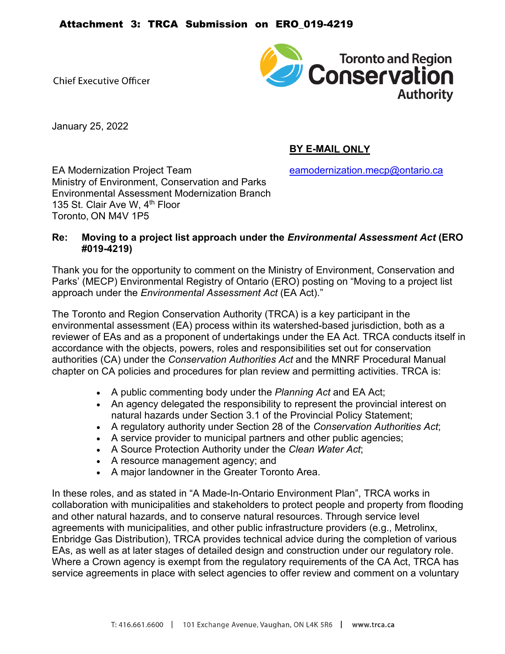**Chief Executive Officer** 



January 25, 2022

# **BY E-MAIL ONLY**

EA Modernization Project Team earnol [eamodernization.mecp@ontario.ca](mailto:eamodernization.mecp@ontario.ca) Ministry of Environment, Conservation and Parks Environmental Assessment Modernization Branch 135 St. Clair Ave W. 4<sup>th</sup> Floor Toronto, ON M4V 1P5

### **Re: Moving to a project list approach under the** *Environmental Assessment Act* **(ERO #019-4219)**

Thank you for the opportunity to comment on the Ministry of Environment, Conservation and Parks' (MECP) Environmental Registry of Ontario (ERO) posting on "Moving to a project list approach under the *Environmental Assessment Act* (EA Act)."

The Toronto and Region Conservation Authority (TRCA) is a key participant in the environmental assessment (EA) process within its watershed-based jurisdiction, both as a reviewer of EAs and as a proponent of undertakings under the EA Act. TRCA conducts itself in accordance with the objects, powers, roles and responsibilities set out for conservation authorities (CA) under the *Conservation Authorities Act* and the MNRF Procedural Manual chapter on CA policies and procedures for plan review and permitting activities. TRCA is:

- A public commenting body under the *Planning Act* and EA Act;
- An agency delegated the responsibility to represent the provincial interest on natural hazards under Section 3.1 of the Provincial Policy Statement;
- A regulatory authority under Section 28 of the *Conservation Authorities Act*;
- A service provider to municipal partners and other public agencies;
- A Source Protection Authority under the *Clean Water Act*;
- A resource management agency; and
- A major landowner in the Greater Toronto Area.

In these roles, and as stated in "A Made-In-Ontario Environment Plan", TRCA works in collaboration with municipalities and stakeholders to protect people and property from flooding and other natural hazards, and to conserve natural resources. Through service level agreements with municipalities, and other public infrastructure providers (e.g., Metrolinx, Enbridge Gas Distribution), TRCA provides technical advice during the completion of various EAs, as well as at later stages of detailed design and construction under our regulatory role. Where a Crown agency is exempt from the regulatory requirements of the CA Act, TRCA has service agreements in place with select agencies to offer review and comment on a voluntary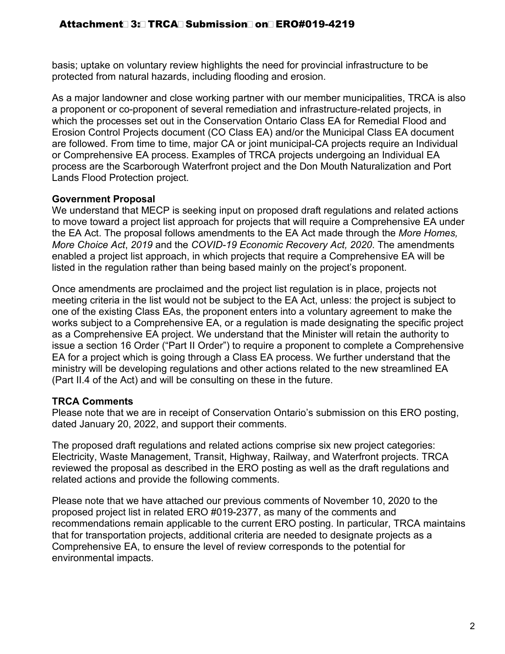basis; uptake on voluntary review highlights the need for provincial infrastructure to be protected from natural hazards, including flooding and erosion.

As a major landowner and close working partner with our member municipalities, TRCA is also a proponent or co-proponent of several remediation and infrastructure-related projects, in which the processes set out in the Conservation Ontario Class EA for Remedial Flood and Erosion Control Projects document (CO Class EA) and/or the Municipal Class EA document are followed. From time to time, major CA or joint municipal-CA projects require an Individual or Comprehensive EA process. Examples of TRCA projects undergoing an Individual EA process are the Scarborough Waterfront project and the Don Mouth Naturalization and Port Lands Flood Protection project.

## **Government Proposal**

We understand that MECP is seeking input on proposed draft regulations and related actions to move toward a project list approach for projects that will require a Comprehensive EA under the EA Act. The proposal follows amendments to the EA Act made through the *More Homes, More Choice Act*, *2019* and the *COVID-19 Economic Recovery Act, 2020*. The amendments enabled a project list approach, in which projects that require a Comprehensive EA will be listed in the regulation rather than being based mainly on the project's proponent.

Once amendments are proclaimed and the project list regulation is in place, projects not meeting criteria in the list would not be subject to the EA Act, unless: the project is subject to one of the existing Class EAs, the proponent enters into a voluntary agreement to make the works subject to a Comprehensive EA, or a regulation is made designating the specific project as a Comprehensive EA project. We understand that the Minister will retain the authority to issue a section 16 Order ("Part II Order") to require a proponent to complete a Comprehensive EA for a project which is going through a Class EA process. We further understand that the ministry will be developing regulations and other actions related to the new streamlined EA (Part II.4 of the Act) and will be consulting on these in the future.

## **TRCA Comments**

Please note that we are in receipt of Conservation Ontario's submission on this ERO posting, dated January 20, 2022, and support their comments.

The proposed draft regulations and related actions comprise six new project categories: Electricity, Waste Management, Transit, Highway, Railway, and Waterfront projects. TRCA reviewed the proposal as described in the ERO posting as well as the draft regulations and related actions and provide the following comments.

Please note that we have attached our previous comments of November 10, 2020 to the proposed project list in related ERO #019-2377, as many of the comments and recommendations remain applicable to the current ERO posting. In particular, TRCA maintains that for transportation projects, additional criteria are needed to designate projects as a Comprehensive EA, to ensure the level of review corresponds to the potential for environmental impacts.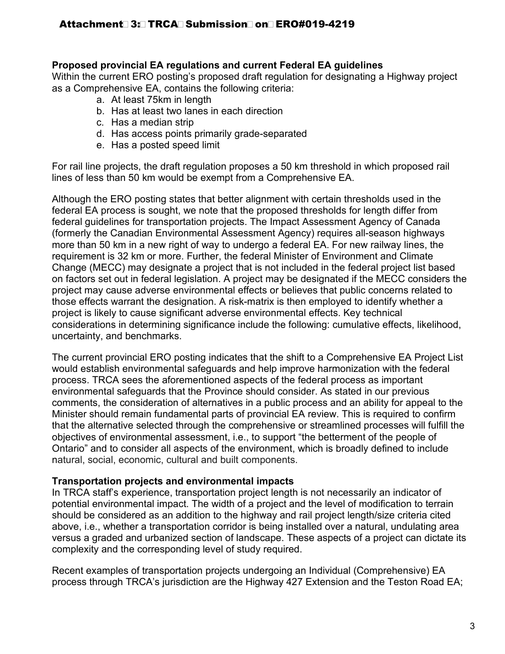### **Proposed provincial EA regulations and current Federal EA guidelines**

Within the current ERO posting's proposed draft regulation for designating a Highway project as a Comprehensive EA, contains the following criteria:

- a. At least 75km in length
- b. Has at least two lanes in each direction
- c. Has a median strip
- d. Has access points primarily grade-separated
- e. Has a posted speed limit

For rail line projects, the draft regulation proposes a 50 km threshold in which proposed rail lines of less than 50 km would be exempt from a Comprehensive EA.

Although the ERO posting states that better alignment with certain thresholds used in the federal EA process is sought, we note that the proposed thresholds for length differ from federal guidelines for transportation projects. The Impact Assessment Agency of Canada (formerly the Canadian Environmental Assessment Agency) requires all-season highways more than 50 km in a new right of way to undergo a federal EA. For new railway lines, the requirement is 32 km or more. Further, the federal Minister of Environment and Climate Change (MECC) may designate a project that is not included in the federal project list based on factors set out in federal legislation. A project may be designated if the MECC considers the project may cause adverse environmental effects or believes that public concerns related to those effects warrant the designation. A risk-matrix is then employed to identify whether a project is likely to cause significant adverse environmental effects. Key technical considerations in determining significance include the following: cumulative effects, likelihood, uncertainty, and benchmarks.

The current provincial ERO posting indicates that the shift to a Comprehensive EA Project List would establish environmental safeguards and help improve harmonization with the federal process. TRCA sees the aforementioned aspects of the federal process as important environmental safeguards that the Province should consider. As stated in our previous comments, the consideration of alternatives in a public process and an ability for appeal to the Minister should remain fundamental parts of provincial EA review. This is required to confirm that the alternative selected through the comprehensive or streamlined processes will fulfill the objectives of environmental assessment, i.e., to support "the betterment of the people of Ontario" and to consider all aspects of the environment, which is broadly defined to include natural, social, economic, cultural and built components.

### **Transportation projects and environmental impacts**

In TRCA staff's experience, transportation project length is not necessarily an indicator of potential environmental impact. The width of a project and the level of modification to terrain should be considered as an addition to the highway and rail project length/size criteria cited above, i.e., whether a transportation corridor is being installed over a natural, undulating area versus a graded and urbanized section of landscape. These aspects of a project can dictate its complexity and the corresponding level of study required.

Recent examples of transportation projects undergoing an Individual (Comprehensive) EA process through TRCA's jurisdiction are the Highway 427 Extension and the Teston Road EA;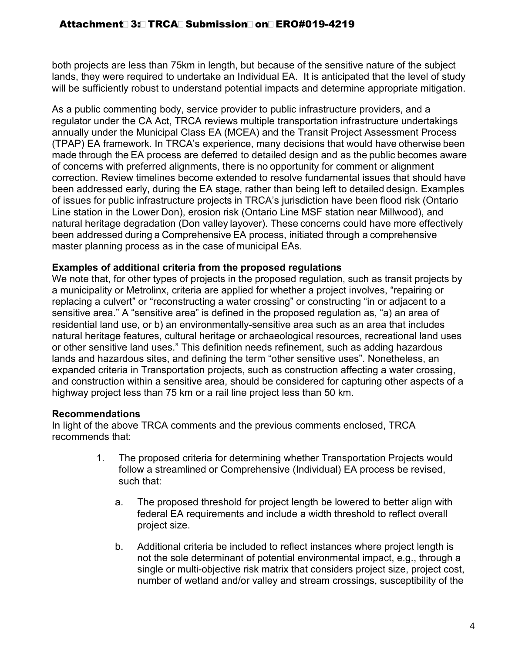both projects are less than 75km in length, but because of the sensitive nature of the subject lands, they were required to undertake an Individual EA. It is anticipated that the level of study will be sufficiently robust to understand potential impacts and determine appropriate mitigation.

As a public commenting body, service provider to public infrastructure providers, and a regulator under the CA Act, TRCA reviews multiple transportation infrastructure undertakings annually under the Municipal Class EA (MCEA) and the Transit Project Assessment Process (TPAP) EA framework. In TRCA's experience, many decisions that would have otherwise been made through the EA process are deferred to detailed design and as the public becomes aware of concerns with preferred alignments, there is no opportunity for comment or alignment correction. Review timelines become extended to resolve fundamental issues that should have been addressed early, during the EA stage, rather than being left to detailed design. Examples of issues for public infrastructure projects in TRCA's jurisdiction have been flood risk (Ontario Line station in the Lower Don), erosion risk (Ontario Line MSF station near Millwood), and natural heritage degradation (Don valley layover). These concerns could have more effectively been addressed during a Comprehensive EA process, initiated through a comprehensive  master planning process as in the case of municipal EAs.

## **Examples of additional criteria from the proposed regulations**

We note that, for other types of projects in the proposed regulation, such as transit projects by a municipality or Metrolinx, criteria are applied for whether a project involves, "repairing or replacing a culvert" or "reconstructing a water crossing" or constructing "in or adjacent to a sensitive area." A "sensitive area" is defined in the proposed regulation as, "a) an area of residential land use, or b) an environmentally-sensitive area such as an area that includes natural heritage features, cultural heritage or archaeological resources, recreational land uses or other sensitive land uses." This definition needs refinement, such as adding hazardous lands and hazardous sites, and defining the term "other sensitive uses". Nonetheless, an expanded criteria in Transportation projects, such as construction affecting a water crossing, and construction within a sensitive area, should be considered for capturing other aspects of a highway project less than 75 km or a rail line project less than 50 km.

### **Recommendations**

In light of the above TRCA comments and the previous comments enclosed, TRCA recommends that:

- 1. The proposed criteria for determining whether Transportation Projects would follow a streamlined or Comprehensive (Individual) EA process be revised, such that:
	- a. The proposed threshold for project length be lowered to better align with federal EA requirements and include a width threshold to reflect overall project size.
	- b. Additional criteria be included to reflect instances where project length is not the sole determinant of potential environmental impact, e.g., through a single or multi-objective risk matrix that considers project size, project cost, number of wetland and/or valley and stream crossings, susceptibility of the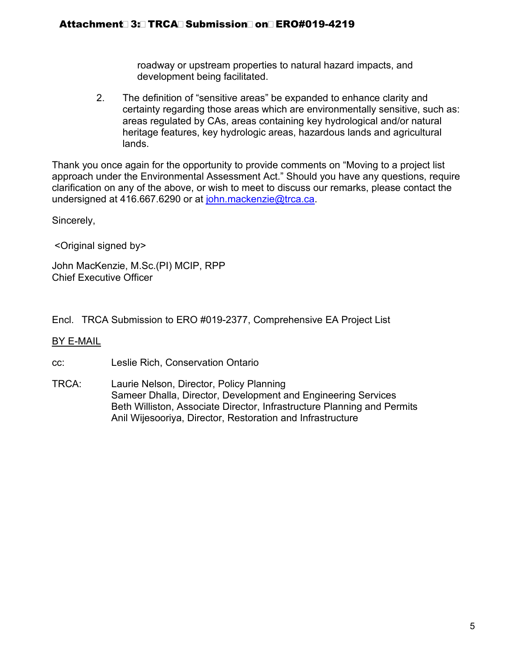roadway or upstream properties to natural hazard impacts, and development being facilitated.

2. The definition of "sensitive areas" be expanded to enhance clarity and certainty regarding those areas which are environmentally sensitive, such as: areas regulated by CAs, areas containing key hydrological and/or natural heritage features, key hydrologic areas, hazardous lands and agricultural lands.

Thank you once again for the opportunity to provide comments on "Moving to a project list approach under the Environmental Assessment Act." Should you have any questions, require clarification on any of the above, or wish to meet to discuss our remarks, please contact the undersigned at 416.667.6290 or at [john.mackenzie@trca.ca.](mailto:john.mackenzie@trca.ca)

Sincerely,

<Original signed by>

John MacKenzie, M.Sc.(PI) MCIP, RPP Chief Executive Officer

Encl. TRCA Submission to ERO #019-2377, Comprehensive EA Project List

### BY E-MAIL

cc: Leslie Rich, Conservation Ontario

TRCA: Laurie Nelson, Director, Policy Planning Sameer Dhalla, Director, Development and Engineering Services Beth Williston, Associate Director, Infrastructure Planning and Permits Anil Wijesooriya, Director, Restoration and Infrastructure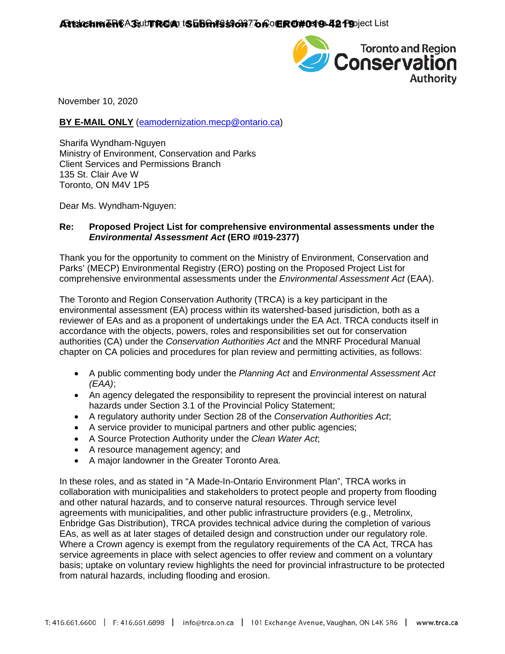

November 10, 2020

#### **BY E-MAIL ONLY** [\(eamodernization.mecp@ontario.ca\)](mailto:eamodernization.mecp@ontario.ca)

Sharifa Wyndham-Nguyen Ministry of Environment, Conservation and Parks Client Services and Permissions Branch 135 St. Clair Ave W Toronto, ON M4V 1P5

Dear Ms. Wyndham-Nguyen:

#### **Re: Proposed Project List for comprehensive environmental assessments under the**  *Environmental Assessment Act* **(ERO #019-2377)**

Thank you for the opportunity to comment on the Ministry of Environment, Conservation and Parks' (MECP) Environmental Registry (ERO) posting on the Proposed Project List for comprehensive environmental assessments under the *Environmental Assessment Act* (EAA).

The Toronto and Region Conservation Authority (TRCA) is a key participant in the environmental assessment (EA) process within its watershed-based jurisdiction, both as a reviewer of EAs and as a proponent of undertakings under the EA Act. TRCA conducts itself in accordance with the objects, powers, roles and responsibilities set out for conservation authorities (CA) under the *Conservation Authorities Act* and the MNRF Procedural Manual chapter on CA policies and procedures for plan review and permitting activities, as follows:

- A public commenting body under the *Planning Act* and *Environmental Assessment Act (EAA)*;
- An agency delegated the responsibility to represent the provincial interest on natural hazards under Section 3.1 of the Provincial Policy Statement;
- A regulatory authority under Section 28 of the *Conservation Authorities Act*;
- A service provider to municipal partners and other public agencies;
- A Source Protection Authority under the *Clean Water Act*;
- A resource management agency; and
- A major landowner in the Greater Toronto Area.

In these roles, and as stated in "A Made-In-Ontario Environment Plan", TRCA works in collaboration with municipalities and stakeholders to protect people and property from flooding and other natural hazards, and to conserve natural resources. Through service level agreements with municipalities, and other public infrastructure providers (e.g., Metrolinx, Enbridge Gas Distribution), TRCA provides technical advice during the completion of various EAs, as well as at later stages of detailed design and construction under our regulatory role. Where a Crown agency is exempt from the regulatory requirements of the CA Act, TRCA has service agreements in place with select agencies to offer review and comment on a voluntary basis; uptake on voluntary review highlights the need for provincial infrastructure to be protected from natural hazards, including flooding and erosion.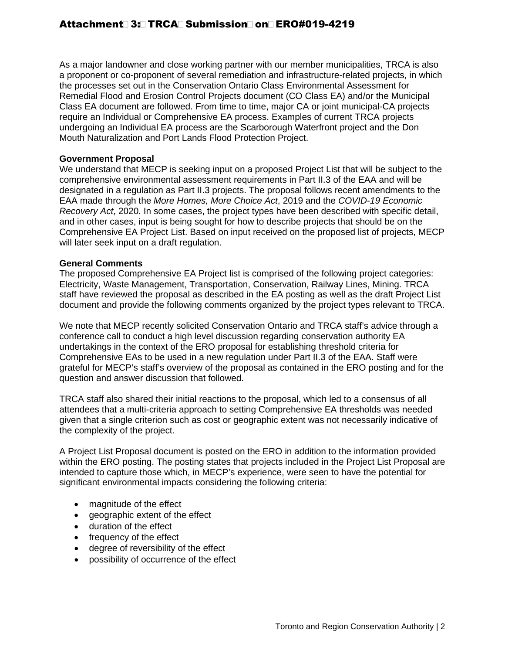As a major landowner and close working partner with our member municipalities, TRCA is also a proponent or co-proponent of several remediation and infrastructure-related projects, in which the processes set out in the Conservation Ontario Class Environmental Assessment for Remedial Flood and Erosion Control Projects document (CO Class EA) and/or the Municipal Class EA document are followed. From time to time, major CA or joint municipal-CA projects require an Individual or Comprehensive EA process. Examples of current TRCA projects undergoing an Individual EA process are the Scarborough Waterfront project and the Don Mouth Naturalization and Port Lands Flood Protection Project.

#### **Government Proposal**

We understand that MECP is seeking input on a proposed Project List that will be subject to the comprehensive environmental assessment requirements in Part II.3 of the EAA and will be designated in a regulation as Part II.3 projects. The proposal follows recent amendments to the EAA made through the *More Homes, More Choice Act*, 2019 and the *COVID-19 Economic Recovery Act*, 2020. In some cases, the project types have been described with specific detail, and in other cases, input is being sought for how to describe projects that should be on the Comprehensive EA Project List. Based on input received on the proposed list of projects, MECP will later seek input on a draft regulation.

#### **General Comments**

The proposed Comprehensive EA Project list is comprised of the following project categories: Electricity, Waste Management, Transportation, Conservation, Railway Lines, Mining. TRCA staff have reviewed the proposal as described in the EA posting as well as the draft Project List document and provide the following comments organized by the project types relevant to TRCA.

We note that MECP recently solicited Conservation Ontario and TRCA staff's advice through a conference call to conduct a high level discussion regarding conservation authority EA undertakings in the context of the ERO proposal for establishing threshold criteria for Comprehensive EAs to be used in a new regulation under Part II.3 of the EAA. Staff were grateful for MECP's staff's overview of the proposal as contained in the ERO posting and for the question and answer discussion that followed.

TRCA staff also shared their initial reactions to the proposal, which led to a consensus of all attendees that a multi-criteria approach to setting Comprehensive EA thresholds was needed given that a single criterion such as cost or geographic extent was not necessarily indicative of the complexity of the project.

A Project List Proposal document is posted on the ERO in addition to the information provided within the ERO posting. The posting states that projects included in the Project List Proposal are intended to capture those which, in MECP's experience, were seen to have the potential for significant environmental impacts considering the following criteria:

- magnitude of the effect
- geographic extent of the effect
- duration of the effect
- frequency of the effect
- degree of reversibility of the effect
- possibility of occurrence of the effect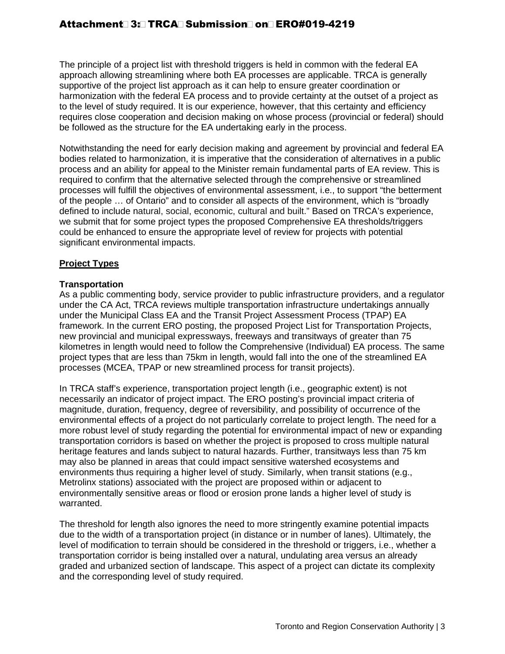The principle of a project list with threshold triggers is held in common with the federal EA approach allowing streamlining where both EA processes are applicable. TRCA is generally supportive of the project list approach as it can help to ensure greater coordination or harmonization with the federal EA process and to provide certainty at the outset of a project as to the level of study required. It is our experience, however, that this certainty and efficiency requires close cooperation and decision making on whose process (provincial or federal) should be followed as the structure for the EA undertaking early in the process.

Notwithstanding the need for early decision making and agreement by provincial and federal EA bodies related to harmonization, it is imperative that the consideration of alternatives in a public process and an ability for appeal to the Minister remain fundamental parts of EA review. This is required to confirm that the alternative selected through the comprehensive or streamlined processes will fulfill the objectives of environmental assessment, i.e., to support "the betterment of the people … of Ontario" and to consider all aspects of the environment, which is "broadly defined to include natural, social, economic, cultural and built." Based on TRCA's experience, we submit that for some project types the proposed Comprehensive EA thresholds/triggers could be enhanced to ensure the appropriate level of review for projects with potential significant environmental impacts.

#### **Project Types**

#### **Transportation**

As a public commenting body, service provider to public infrastructure providers, and a regulator under the CA Act, TRCA reviews multiple transportation infrastructure undertakings annually under the Municipal Class EA and the Transit Project Assessment Process (TPAP) EA framework. In the current ERO posting, the proposed Project List for Transportation Projects, new provincial and municipal expressways, freeways and transitways of greater than 75 kilometres in length would need to follow the Comprehensive (Individual) EA process. The same project types that are less than 75km in length, would fall into the one of the streamlined EA processes (MCEA, TPAP or new streamlined process for transit projects).

In TRCA staff's experience, transportation project length (i.e., geographic extent) is not necessarily an indicator of project impact. The ERO posting's provincial impact criteria of magnitude, duration, frequency, degree of reversibility, and possibility of occurrence of the environmental effects of a project do not particularly correlate to project length. The need for a more robust level of study regarding the potential for environmental impact of new or expanding transportation corridors is based on whether the project is proposed to cross multiple natural heritage features and lands subject to natural hazards. Further, transitways less than 75 km may also be planned in areas that could impact sensitive watershed ecosystems and environments thus requiring a higher level of study. Similarly, when transit stations (e.g., Metrolinx stations) associated with the project are proposed within or adjacent to environmentally sensitive areas or flood or erosion prone lands a higher level of study is warranted.

The threshold for length also ignores the need to more stringently examine potential impacts due to the width of a transportation project (in distance or in number of lanes). Ultimately, the level of modification to terrain should be considered in the threshold or triggers, i.e., whether a transportation corridor is being installed over a natural, undulating area versus an already graded and urbanized section of landscape. This aspect of a project can dictate its complexity and the corresponding level of study required.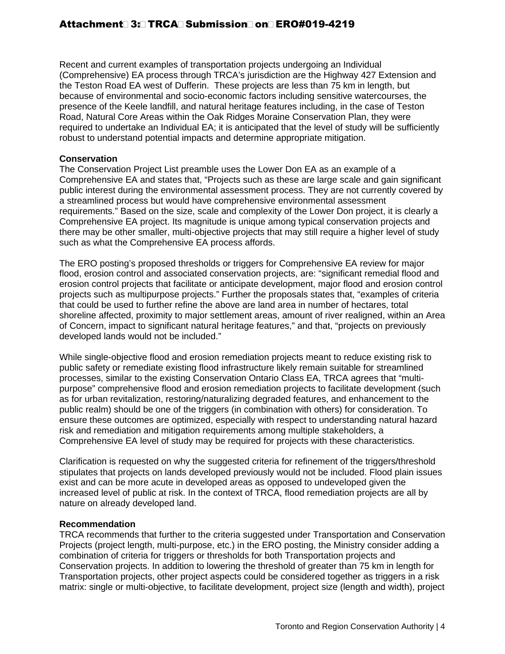Recent and current examples of transportation projects undergoing an Individual (Comprehensive) EA process through TRCA's jurisdiction are the Highway 427 Extension and the Teston Road EA west of Dufferin. These projects are less than 75 km in length, but because of environmental and socio-economic factors including sensitive watercourses, the presence of the Keele landfill, and natural heritage features including, in the case of Teston Road, Natural Core Areas within the Oak Ridges Moraine Conservation Plan, they were required to undertake an Individual EA; it is anticipated that the level of study will be sufficiently robust to understand potential impacts and determine appropriate mitigation.

#### **Conservation**

The Conservation Project List preamble uses the Lower Don EA as an example of a Comprehensive EA and states that, "Projects such as these are large scale and gain significant public interest during the environmental assessment process. They are not currently covered by a streamlined process but would have comprehensive environmental assessment requirements." Based on the size, scale and complexity of the Lower Don project, it is clearly a Comprehensive EA project. Its magnitude is unique among typical conservation projects and there may be other smaller, multi-objective projects that may still require a higher level of study such as what the Comprehensive EA process affords.

The ERO posting's proposed thresholds or triggers for Comprehensive EA review for major flood, erosion control and associated conservation projects, are: "significant remedial flood and erosion control projects that facilitate or anticipate development, major flood and erosion control projects such as multipurpose projects." Further the proposals states that, "examples of criteria that could be used to further refine the above are land area in number of hectares, total shoreline affected, proximity to major settlement areas, amount of river realigned, within an Area of Concern, impact to significant natural heritage features," and that, "projects on previously developed lands would not be included."

While single-objective flood and erosion remediation projects meant to reduce existing risk to public safety or remediate existing flood infrastructure likely remain suitable for streamlined processes, similar to the existing Conservation Ontario Class EA, TRCA agrees that "multipurpose" comprehensive flood and erosion remediation projects to facilitate development (such as for urban revitalization, restoring/naturalizing degraded features, and enhancement to the public realm) should be one of the triggers (in combination with others) for consideration. To ensure these outcomes are optimized, especially with respect to understanding natural hazard risk and remediation and mitigation requirements among multiple stakeholders, a Comprehensive EA level of study may be required for projects with these characteristics.

Clarification is requested on why the suggested criteria for refinement of the triggers/threshold stipulates that projects on lands developed previously would not be included. Flood plain issues exist and can be more acute in developed areas as opposed to undeveloped given the increased level of public at risk. In the context of TRCA, flood remediation projects are all by nature on already developed land.

#### **Recommendation**

TRCA recommends that further to the criteria suggested under Transportation and Conservation Projects (project length, multi-purpose, etc.) in the ERO posting, the Ministry consider adding a combination of criteria for triggers or thresholds for both Transportation projects and Conservation projects. In addition to lowering the threshold of greater than 75 km in length for Transportation projects, other project aspects could be considered together as triggers in a risk matrix: single or multi-objective, to facilitate development, project size (length and width), project